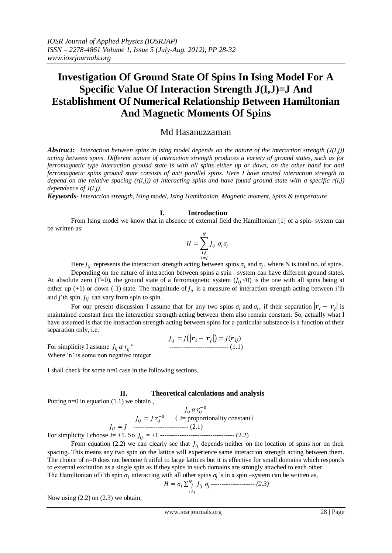# **Investigation Of Ground State Of Spins In Ising Model For A Specific Value Of Interaction Strength J(I,J)=J And Establishment Of Numerical Relationship Between Hamiltonian And Magnetic Moments Of Spins**

## Md Hasanuzzaman

*Abstract: Interaction between spins in Ising model depends on the nature of the interaction strength (J(I,j)) acting between spins. Different nature of interaction strength produces a variety of ground states, such as for ferromagnetic type interaction ground state is with all spins either up or down, on the other hand for anti ferromagnetic spins ground state consists of anti parallel spins. Here I have treated interaction strength to depend on the relative spacing (r(i,j)) of interacting spins and have found ground state with a specific r(i,j) dependence of J(I,j).*

*Keywords- Interaction strength, Ising model, Ising Hamiltonian, Magnetic moment, Spins & temperature*

## **I. Introduction**

From Ising model we know that in absence of external field the Hamiltonian [1] of a spin- system can be written as:

$$
H = \sum_{\substack{i,j\\i \neq j}}^N J_{ij} \ \sigma_i \sigma_j
$$

Here  $J_{ij}$  represents the interaction strength acting between spins  $\sigma_i$  and  $\sigma_j$ , where N is total no. of spins.

Depending on the nature of interaction between spins a spin –system can have different ground states. At absolute zero (T=0), the ground state of a ferromagnetic system  $(J_{ij} < 0)$  is the one with all spins being at either up (+1) or down (-1) state. The magnitude of  $J_{ij}$  is a measure of interaction strength acting between i'th and j'th spin.  $J_{ij}$  can vary from spin to spin.

For our present discussion I assume that for any two spins  $\sigma_i$  and  $\sigma_j$ , if their separation  $|\bm{r}_i - \bm{r}_j|$  is maintained constant then the interaction strength acting between them also remain constant. So, actually what I have assumed is that the interaction strength acting between spins for a particular substance is a function of their separation only, i.e.

$$
J_{ij} = J(|\mathbf{r}_i - \mathbf{r}_j|) = J(\mathbf{r}_{ij})
$$
  
For simplicity I assume  $J_{ij} \alpha r_{ij}^{-n}$ 

For simplicity I assume  $J_{ij} \alpha r_{ij}^{-n}$ Where 'n' is some non negative integer.

I shall check for some n=0 case in the following sections.

## **II. Theoretical calculations and analysis**

Putting  $n=0$  in equation  $(1.1)$  we obtain,

$$
J_{ij} \alpha r_{ij}^{-0}
$$
\n
$$
J_{ij} = J r_{ij}^{-0} \quad \{ \text{ J = proportionality constant} \}
$$
\nFor simplicity I choose J= ±1. So  $J_{ij} = \pm 1$  \n
$$
J_{ij} = 1 \quad \text{2.2}
$$

From equation (2.2) we can clearly see that  $J_{ij}$  depends neither on the location of spins nor on their spacing. This means any two spin on the lattice will experience same interaction strength acting between them. The choice of n=0 does not become fruitful to large lattices but it is effective for small domains which responds to external excitation as a single spin as if they spins in such domains are strongly attached to each other. The Hamiltonian of i'th spin  $\sigma_i$  interacting with all other spins  $\sigma_j$ 's in a spin –system can be written as,

$$
H = \sigma_i \sum_{\substack{i=1 \\ i \neq j}}^N J_{ij} \sigma_j
$$

Now using  $(2.2)$  on  $(2.3)$  we obtain,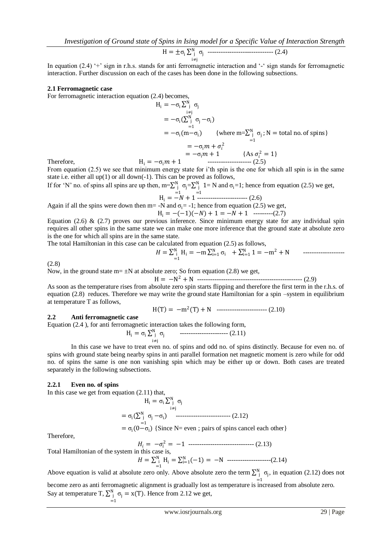$$
H = \pm \sigma_i \sum_{i \neq j}^{N} \sigma_j
$$
 \n
$$
\vdots
$$

In equation (2.4) '+' sign in r.h.s. stands for anti-terromagnetic interaction and '-' sign stands for ferromagnetic interaction. Further discussion on each of the cases has been done in the following subsections.

#### **2.1 Ferromagnetic case**

For ferromagnetic interaction equation (2.4) becomes,

$$
H_i = -\sigma_i \sum_{\substack{i=1 \ i \neq j}}^{N} \sigma_j
$$
  
\n
$$
= -\sigma_i (\sum_{\substack{i=1 \ i \neq j}}^{N} \sigma_j - \sigma_i)
$$
  
\n
$$
= -\sigma_i (m - \sigma_i) \qquad \{\text{where } m = \sum_{\substack{j=1 \ i \neq j}}^{N} \sigma_j; N = \text{ total no. of spins}\}
$$
  
\n
$$
= -\sigma_i m + \sigma_i^2
$$
  
\n
$$
= -\sigma_i m + 1 \qquad \{\text{As } \sigma_i^2 = 1\}
$$
  
\nTherefore,  
\n
$$
H_i = -\sigma_i m + 1 \qquad \text{Answer } (2.5)
$$

From equation (2.5) we see that minimum energy state for i'th spin is the one for which all spin is in the same state i.e. either all up(1) or all down(-1). This can be proved as follows,

If for 'N' no. of spins all spins are up then, m= $\sum_{j=1}^{N} \sigma_j$  $=\sum_{j}^{N} 1$  $\int_{-1}^{N}$  1= N and  $\sigma_i$ =1; hence from equation (2.5) we get,

Again if all the spins were down then m= -N and 
$$
\sigma_i
$$
 = -1; hence from equation (2.5) we get,

 $H_i = -(-1)(-N) + 1 = -N + 1$  ---------(2.7)

Equation (2.6) & (2.7) proves our previous inference. Since minimum energy state for any individual spin requires all other spins in the same state we can make one more inference that the ground state at absolute zero is the one for which all spins are in the same state.

The total Hamiltonian in this case can be calculated from equation (2.5) as follows,

$$
H = \sum_{i=1}^{N} H_i = -m \sum_{i=1}^{N} \sigma_i + \sum_{i=1}^{N} 1 = -m^2 + N
$$

(2.8)

Now, in the ground state  $m = \pm N$  at absolute zero; So from equation (2.8) we get,

 H = −N <sup>2</sup> + N ------------------------------------------------ (2.9) As soon as the temperature rises from absolute zero spin starts flipping and therefore the first term in the r.h.s. of equation (2.8) reduces. Therefore we may write the ground state Hamiltonian for a spin –system in equilibrium at temperature T as follows,

$$
H(T) = -m^2(T) + N
$$
 \n $\cdots$  \n $\cdots$  \n $\cdots$  \n $\cdots$  \n $\cdots$  \n $\cdots$  \n $\cdots$  \n $\cdots$  \n $\cdots$  \n $\cdots$  \n $\cdots$  \n $\cdots$  \n $\cdots$  \n $\cdots$  \n $\cdots$  \n $\cdots$  \n $\cdots$  \n $\cdots$  \n $\cdots$  \n $\cdots$  \n $\cdots$  \n $\cdots$  \n $\cdots$  \n $\cdots$  \n $\cdots$  \n $\cdots$  \n $\cdots$  \n $\cdots$  \n $\cdots$  \n $\cdots$  \n $\cdots$  \n $\cdots$  \n $\cdots$  \n $\cdots$  \n $\cdots$  \n $\cdots$  \n $\cdots$  \n $\cdots$  \n $\cdots$  \n $\cdots$  \n $\cdots$  \n $\cdots$  \n $\cdots$  \n $\cdots$  \n $\cdots$  \n $\cdots$  \n $\cdots$  \n $\cdots$  \n $\cdots$  \n $\cdots$  \n $\cdots$  \n $\cdots$  \n $\cdots$  \n $\cdots$  \n $\cdots$  \n $\cdots$  \n $\cdots$  \n $\cdots$  \n $\cdots$  \n $\cdots$  \n $\cdots$  \n $\cdots$  \n $\cdots$  \n $\cdots$  \n $\cdots$  \n $\cdots$  \n $\cdots$  \n $\cd$ 

#### **2.2 Anti ferromagnetic case**

Equation (2.4 ), for anti ferromagnetic interaction takes the following form,

$$
H_i = \sigma_i \sum_{\substack{i=1 \ i \neq j}}^{N} \sigma_j
$$
   
 (2.11)

In this case we have to treat even no. of spins and odd no. of spins distinctly. Because for even no. of spins with ground state being nearby spins in anti parallel formation net magnetic moment is zero while for odd no. of spins the same is one non vanishing spin which may be either up or down. Both cases are treated separately in the following subsections.

#### **2.2.1 Even no. of spins**

In this case we get from equation (2.11) that,

$$
H_i = \sigma_i \sum_{\substack{i=1 \ i \neq j}}^{N} \sigma_j
$$
  
=  $\sigma_i (\sum_{j=1}^{N} \sigma_j - \sigma_i)$  (2.12)  
=  $\sigma_i (0 - \sigma_i)$  {Since N= even ; pairs of spins cancel each other}

Therefore,

Total Hamiltonian of the system in this case is,  
\n
$$
H_i = -\sigma_i^2 = -1
$$
 1 2.13)  
\n
$$
H = \sum_{i=1}^{N_i} H_i = \sum_{i=1}^{N_i} (-1) = -N
$$
 2.13)

 $H = \sum_{i=1}^{N} H_i = \sum_{i=1}^{N} (-1) = -N$  -------------------(2.14)

Above equation is valid at absolute zero only. Above absolute zero the term  $\sum_{j=1}^{N} \sigma_j$ , in equation (2.12) does not =1 become zero as anti ferromagnetic alignment is gradually lost as temperature is increased from absolute zero.

Say at temperature T,  $\sum_{j}^{N} \sigma_j = x(T)$ =1 . Hence from 2.12 we get,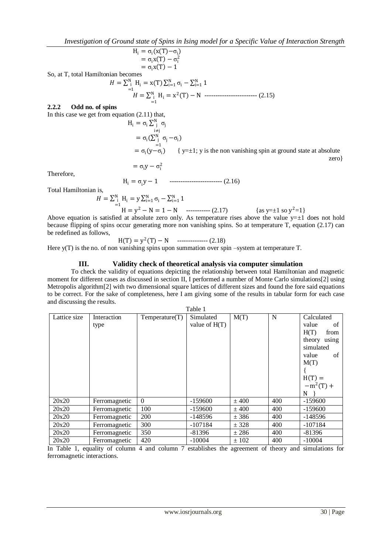*Investigation of Ground state of Spins in Ising model for a Specific Value of Interaction Strength* 

$$
H_i = \sigma_i (x(T) - \sigma_i)
$$
  
=  $\sigma_i x(T) - \sigma_i^2$   
=  $\sigma_i x(T) - 1$ 

So, at T, total Hamiltonian becomes

$$
H = \sum_{i=1}^{N} H_i = x(T) \sum_{i=1}^{N} \sigma_i - \sum_{i=1}^{N} 1
$$
  

$$
H = \sum_{i=1}^{N} H_i = x^2(T) - N
$$
................. (2.15)

## **2.2.2 Odd no. of spins**

In this case we get from equation (2.11) that,

$$
H_i = \sigma_i \sum_{\substack{i=1 \ i \neq j}}^{N} \sigma_j
$$
  
=  $\sigma_i (\sum_{j=1}^{N} \sigma_j - \sigma_i)$   
=  $\sigma_i (y - \sigma_i)$  { y=±1; y is the non vanishing spin at ground state at absolute zero}  
=  $\sigma_i y - \sigma_i^2$ 

Therefore,

 $H_i = \sigma_i y - 1$  --------------------------- (2.16)

Total Hamiltonian is,

$$
H = \sum_{i=1}^{N} H_i = y \sum_{i=1}^{N} \sigma_i - \sum_{i=1}^{N} 1
$$
  
H = y<sup>2</sup> - N = 1 - N (2.17) {as y=±1 so y<sup>2</sup>=1}

Above equation is satisfied at absolute zero only. As temperature rises above the value  $y=\pm 1$  does not hold because flipping of spins occur generating more non vanishing spins. So at temperature T, equation (2.17) can be redefined as follows,

$$
H(T) = y^2(T) - N
$$
 \n
$$
= (2.18)
$$

Here y(T) is the no. of non vanishing spins upon summation over spin –system at temperature T.

## **III. Validity check of theoretical analysis via computer simulation**

To check the validity of equations depicting the relationship between total Hamiltonian and magnetic moment for different cases as discussed in section II, I performed a number of Monte Carlo simulations[2] using Metropolis algorithm[2] with two dimensional square lattices of different sizes and found the fore said equations to be correct. For the sake of completeness, here I am giving some of the results in tabular form for each case and discussing the results.  $T<sub>1</sub>$ 

| rabie i      |               |                |                 |         |     |              |  |
|--------------|---------------|----------------|-----------------|---------|-----|--------------|--|
| Lattice size | Interaction   | Temperature(T) | Simulated       | M(T)    | N   | Calculated   |  |
|              | type          |                | value of $H(T)$ |         |     | value<br>of  |  |
|              |               |                |                 |         |     | H(T)<br>from |  |
|              |               |                |                 |         |     | theory using |  |
|              |               |                |                 |         |     | simulated    |  |
|              |               |                |                 |         |     | value<br>of  |  |
|              |               |                |                 |         |     | M(T)         |  |
|              |               |                |                 |         |     |              |  |
|              |               |                |                 |         |     | $H(T) =$     |  |
|              |               |                |                 |         |     | $-m^2(T) +$  |  |
|              |               |                |                 |         |     | N            |  |
| 20x20        | Ferromagnetic | $\Omega$       | $-159600$       | $±$ 400 | 400 | $-159600$    |  |
| 20x20        | Ferromagnetic | 100            | $-159600$       | $±$ 400 | 400 | $-159600$    |  |
| 20x20        | Ferromagnetic | 200            | $-148596$       | $±$ 386 | 400 | $-148596$    |  |
| 20x20        | Ferromagnetic | 300            | $-107184$       | ± 328   | 400 | $-107184$    |  |
| 20x20        | Ferromagnetic | 350            | $-81396$        | ± 286   | 400 | $-81396$     |  |
| 20x20        | Ferromagnetic | 420            | $-10004$        | ± 102   | 400 | $-10004$     |  |

In Table 1, equality of column 4 and column 7 establishes the agreement of theory and simulations for ferromagnetic interactions.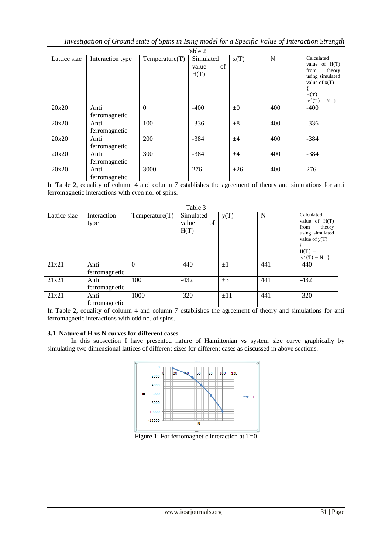| Table 2      |                       |                |                                  |         |     |                                                                                                                   |  |
|--------------|-----------------------|----------------|----------------------------------|---------|-----|-------------------------------------------------------------------------------------------------------------------|--|
| Lattice size | Interaction type      | Temperature(T) | Simulated<br>value<br>of<br>H(T) | X(T)    | N   | Calculated<br>value of $H(T)$<br>from<br>theory<br>using simulated<br>value of $x(T)$<br>$H(T) =$<br>$x^2(T) - N$ |  |
| 20x20        | Anti<br>ferromagnetic | $\Omega$       | $-400$                           | $\pm 0$ | 400 | $-400$                                                                                                            |  |
| 20x20        | Anti<br>ferromagnetic | 100            | $-336$                           | $\pm 8$ | 400 | $-336$                                                                                                            |  |
| 20x20        | Anti<br>ferromagnetic | 200            | $-384$                           | ±4      | 400 | $-384$                                                                                                            |  |
| 20x20        | Anti<br>ferromagnetic | 300            | $-384$                           | ±4      | 400 | $-384$                                                                                                            |  |
| 20x20        | Anti<br>ferromagnetic | 3000           | 276                              | ±26     | 400 | 276                                                                                                               |  |

In Table 2, equality of column 4 and column 7 establishes the agreement of theory and simulations for anti ferromagnetic interactions with even no. of spins.

| Table 3      |                       |                |                                  |          |     |                                                                                                                   |
|--------------|-----------------------|----------------|----------------------------------|----------|-----|-------------------------------------------------------------------------------------------------------------------|
| Lattice size | Interaction<br>type   | Temperature(T) | Simulated<br>of<br>value<br>H(T) | y(T)     | N   | Calculated<br>value of $H(T)$<br>from<br>theory<br>using simulated<br>value of $y(T)$<br>$H(T) =$<br>$y^2(T) - N$ |
| 21x21        | Anti<br>ferromagnetic | $\theta$       | $-440$                           | $\pm 1$  | 441 | $-440$                                                                                                            |
| 21x21        | Anti<br>ferromagnetic | 100            | $-432$                           | $\pm 3$  | 441 | $-432$                                                                                                            |
| 21x21        | Anti<br>ferromagnetic | 1000           | $-320$                           | $\pm$ 11 | 441 | $-320$                                                                                                            |

In Table 2, equality of column 4 and column 7 establishes the agreement of theory and simulations for anti ferromagnetic interactions with odd no. of spins.

## **3.1 Nature of H vs N curves for different cases**

In this subsection I have presented nature of Hamiltonian vs system size curve graphically by simulating two dimensional lattices of different sizes for different cases as discussed in above sections.



Figure 1: For ferromagnetic interaction at T=0